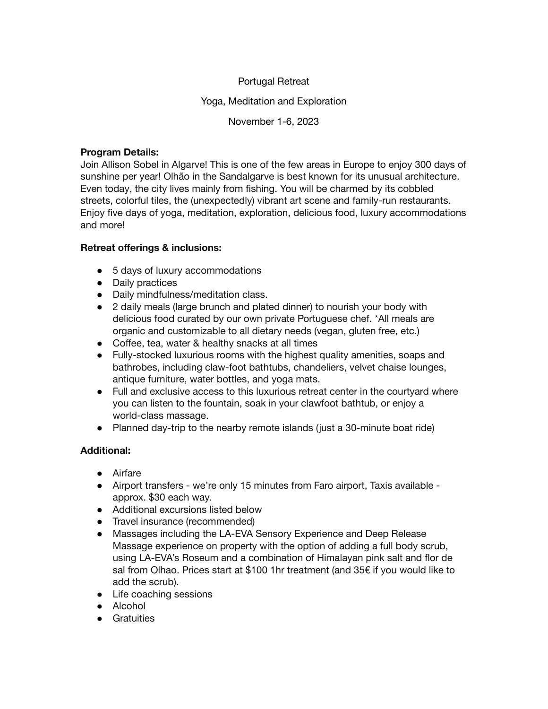# Portugal Retreat

# Yoga, Meditation and Exploration

November 1-6, 2023

## **Program Details:**

Join Allison Sobel in Algarve! This is one of the few areas in Europe to enjoy 300 days of sunshine per year! Olhão in the Sandalgarve is best known for its unusual architecture. Even today, the city lives mainly from fishing. You will be charmed by its cobbled streets, colorful tiles, the (unexpectedly) vibrant art scene and family-run restaurants. Enjoy five days of yoga, meditation, exploration, delicious food, luxury accommodations and more!

# **Retreat offerings & inclusions:**

- 5 days of luxury accommodations
- Daily practices
- Daily mindfulness/meditation class.
- 2 daily meals (large brunch and plated dinner) to nourish your body with delicious food curated by our own private Portuguese chef. \*All meals are organic and customizable to all dietary needs (vegan, gluten free, etc.)
- Coffee, tea, water & healthy snacks at all times
- Fully-stocked luxurious rooms with the highest quality amenities, soaps and bathrobes, including claw-foot bathtubs, chandeliers, velvet chaise lounges, antique furniture, water bottles, and yoga mats.
- Full and exclusive access to this luxurious retreat center in the courtyard where you can listen to the fountain, soak in your clawfoot bathtub, or enjoy a world-class massage.
- Planned day-trip to the nearby remote islands (just a 30-minute boat ride)

# **Additional:**

- Airfare
- Airport transfers we're only 15 minutes from Faro airport, Taxis available approx. \$30 each way.
- Additional excursions listed below
- Travel insurance (recommended)
- Massages including the LA-EVA Sensory Experience and Deep Release Massage experience on property with the option of adding a full body scrub, using LA-EVA's Roseum and a combination of Himalayan pink salt and flor de sal from Olhao. Prices start at \$100 1hr treatment (and 35€ if you would like to add the scrub).
- Life coaching sessions
- Alcohol
- Gratuities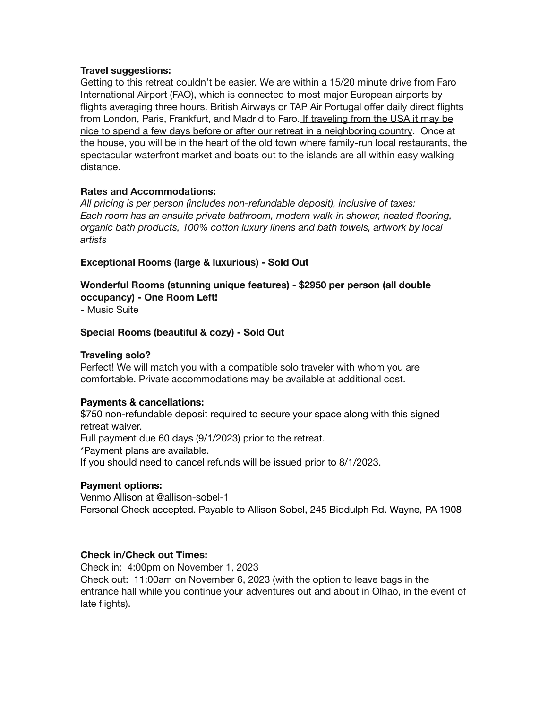### **Travel suggestions:**

Getting to this retreat couldn't be easier. We are within a 15/20 minute drive from Faro International Airport (FAO), which is connected to most major European airports by flights averaging three hours. British Airways or TAP Air Portugal offer daily direct flights from London, Paris, Frankfurt, and Madrid to Faro. If traveling from the USA it may be nice to spend a few days before or after our retreat in a neighboring country. Once at the house, you will be in the heart of the old town where family-run local restaurants, the spectacular waterfront market and boats out to the islands are all within easy walking distance.

## **Rates and Accommodations:**

*All pricing is per person (includes non-refundable deposit), inclusive of taxes: Each room has an ensuite private bathroom, modern walk-in shower, heated flooring, organic bath products, 100% cotton luxury linens and bath towels, artwork by local artists*

### **Exceptional Rooms (large & luxurious) - Sold Out**

**Wonderful Rooms (stunning unique features) - \$2950 per person (all double occupancy) - One Room Left!**

- Music Suite

## **Special Rooms (beautiful & cozy) - Sold Out**

#### **Traveling solo?**

Perfect! We will match you with a compatible solo traveler with whom you are comfortable. Private accommodations may be available at additional cost.

#### **Payments & cancellations:**

\$750 non-refundable deposit required to secure your space along with this signed retreat waiver. Full payment due 60 days (9/1/2023) prior to the retreat.

\*Payment plans are available.

If you should need to cancel refunds will be issued prior to 8/1/2023.

#### **Payment options:**

Venmo Allison at @allison-sobel-1 Personal Check accepted. Payable to Allison Sobel, 245 Biddulph Rd. Wayne, PA 1908

### **Check in/Check out Times:**

Check in: 4:00pm on November 1, 2023 Check out: 11:00am on November 6, 2023 (with the option to leave bags in the entrance hall while you continue your adventures out and about in Olhao, in the event of late flights).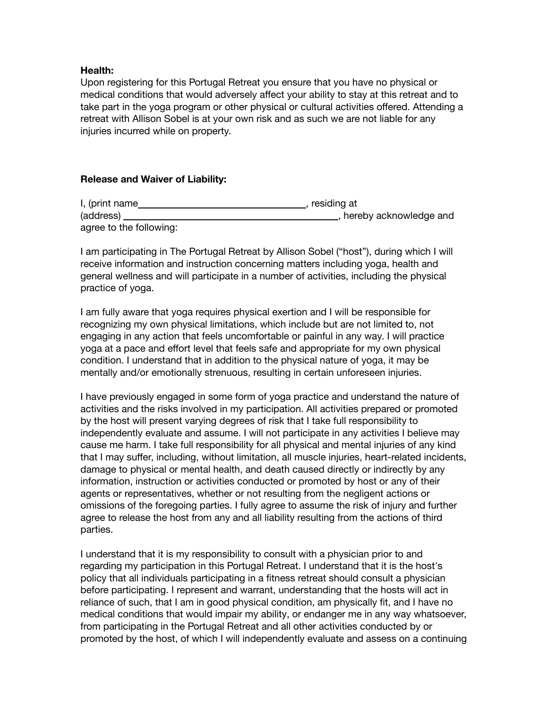### **Health:**

Upon registering for this Portugal Retreat you ensure that you have no physical or medical conditions that would adversely affect your ability to stay at this retreat and to take part in the yoga program or other physical or cultural activities offered. Attending a retreat with Allison Sobel is at your own risk and as such we are not liable for any injuries incurred while on property.

## **Release and Waiver of Liability:**

| I, (print name          | , residing at             |
|-------------------------|---------------------------|
| (address)               | _, hereby acknowledge and |
| agree to the following: |                           |

I am participating in The Portugal Retreat by Allison Sobel ("host"), during which I will receive information and instruction concerning matters including yoga, health and general wellness and will participate in a number of activities, including the physical practice of yoga.

I am fully aware that yoga requires physical exertion and I will be responsible for recognizing my own physical limitations, which include but are not limited to, not engaging in any action that feels uncomfortable or painful in any way. I will practice yoga at a pace and effort level that feels safe and appropriate for my own physical condition. I understand that in addition to the physical nature of yoga, it may be mentally and/or emotionally strenuous, resulting in certain unforeseen injuries.

I have previously engaged in some form of yoga practice and understand the nature of activities and the risks involved in my participation. All activities prepared or promoted by the host will present varying degrees of risk that I take full responsibility to independently evaluate and assume. I will not participate in any activities I believe may cause me harm. I take full responsibility for all physical and mental injuries of any kind that I may suffer, including, without limitation, all muscle injuries, heart-related incidents, damage to physical or mental health, and death caused directly or indirectly by any information, instruction or activities conducted or promoted by host or any of their agents or representatives, whether or not resulting from the negligent actions or omissions of the foregoing parties. I fully agree to assume the risk of injury and further agree to release the host from any and all liability resulting from the actions of third parties.

I understand that it is my responsibility to consult with a physician prior to and regarding my participation in this Portugal Retreat. I understand that it is the host's policy that all individuals participating in a fitness retreat should consult a physician before participating. I represent and warrant, understanding that the hosts will act in reliance of such, that I am in good physical condition, am physically fit, and I have no medical conditions that would impair my ability, or endanger me in any way whatsoever, from participating in the Portugal Retreat and all other activities conducted by or promoted by the host, of which I will independently evaluate and assess on a continuing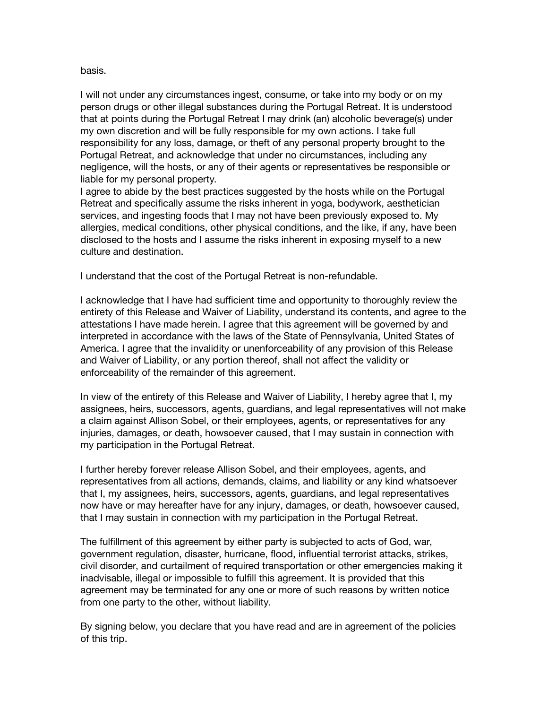#### basis.

I will not under any circumstances ingest, consume, or take into my body or on my person drugs or other illegal substances during the Portugal Retreat. It is understood that at points during the Portugal Retreat I may drink (an) alcoholic beverage(s) under my own discretion and will be fully responsible for my own actions. I take full responsibility for any loss, damage, or theft of any personal property brought to the Portugal Retreat, and acknowledge that under no circumstances, including any negligence, will the hosts, or any of their agents or representatives be responsible or liable for my personal property.

I agree to abide by the best practices suggested by the hosts while on the Portugal Retreat and specifically assume the risks inherent in yoga, bodywork, aesthetician services, and ingesting foods that I may not have been previously exposed to. My allergies, medical conditions, other physical conditions, and the like, if any, have been disclosed to the hosts and I assume the risks inherent in exposing myself to a new culture and destination.

I understand that the cost of the Portugal Retreat is non-refundable.

I acknowledge that I have had sufficient time and opportunity to thoroughly review the entirety of this Release and Waiver of Liability, understand its contents, and agree to the attestations I have made herein. I agree that this agreement will be governed by and interpreted in accordance with the laws of the State of Pennsylvania, United States of America. I agree that the invalidity or unenforceability of any provision of this Release and Waiver of Liability, or any portion thereof, shall not affect the validity or enforceability of the remainder of this agreement.

In view of the entirety of this Release and Waiver of Liability, I hereby agree that I, my assignees, heirs, successors, agents, guardians, and legal representatives will not make a claim against Allison Sobel, or their employees, agents, or representatives for any injuries, damages, or death, howsoever caused, that I may sustain in connection with my participation in the Portugal Retreat.

I further hereby forever release Allison Sobel, and their employees, agents, and representatives from all actions, demands, claims, and liability or any kind whatsoever that I, my assignees, heirs, successors, agents, guardians, and legal representatives now have or may hereafter have for any injury, damages, or death, howsoever caused, that I may sustain in connection with my participation in the Portugal Retreat.

The fulfillment of this agreement by either party is subjected to acts of God, war, government regulation, disaster, hurricane, flood, influential terrorist attacks, strikes, civil disorder, and curtailment of required transportation or other emergencies making it inadvisable, illegal or impossible to fulfill this agreement. It is provided that this agreement may be terminated for any one or more of such reasons by written notice from one party to the other, without liability.

By signing below, you declare that you have read and are in agreement of the policies of this trip.